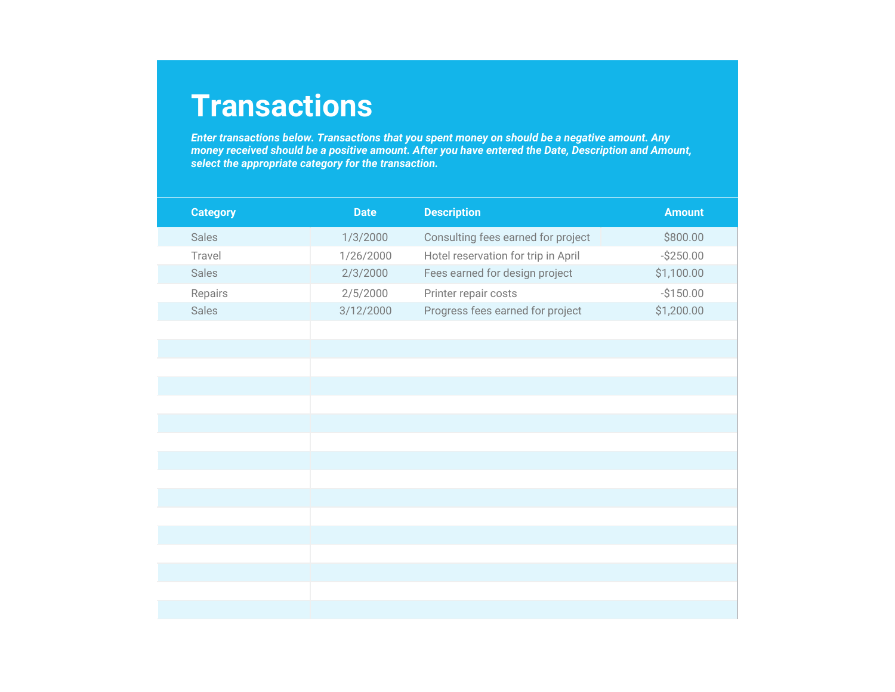# **Transactions**

*Enter transactions below. Transactions that you spent money on should be a negative amount. Any money received should be a positive amount. After you have entered the Date, Description and Amount, select the appropriate category for the transaction.*

| <b>Category</b> | <b>Date</b> | <b>Description</b>                  | <b>Amount</b> |
|-----------------|-------------|-------------------------------------|---------------|
| <b>Sales</b>    | 1/3/2000    | Consulting fees earned for project  | \$800.00      |
| Travel          | 1/26/2000   | Hotel reservation for trip in April | $-$ \$250.00  |
| <b>Sales</b>    | 2/3/2000    | Fees earned for design project      | \$1,100.00    |
| Repairs         | 2/5/2000    | Printer repair costs                | $-$150.00$    |
| <b>Sales</b>    | 3/12/2000   | Progress fees earned for project    | \$1,200.00    |
|                 |             |                                     |               |
|                 |             |                                     |               |
|                 |             |                                     |               |
|                 |             |                                     |               |
|                 |             |                                     |               |
|                 |             |                                     |               |
|                 |             |                                     |               |
|                 |             |                                     |               |
|                 |             |                                     |               |
|                 |             |                                     |               |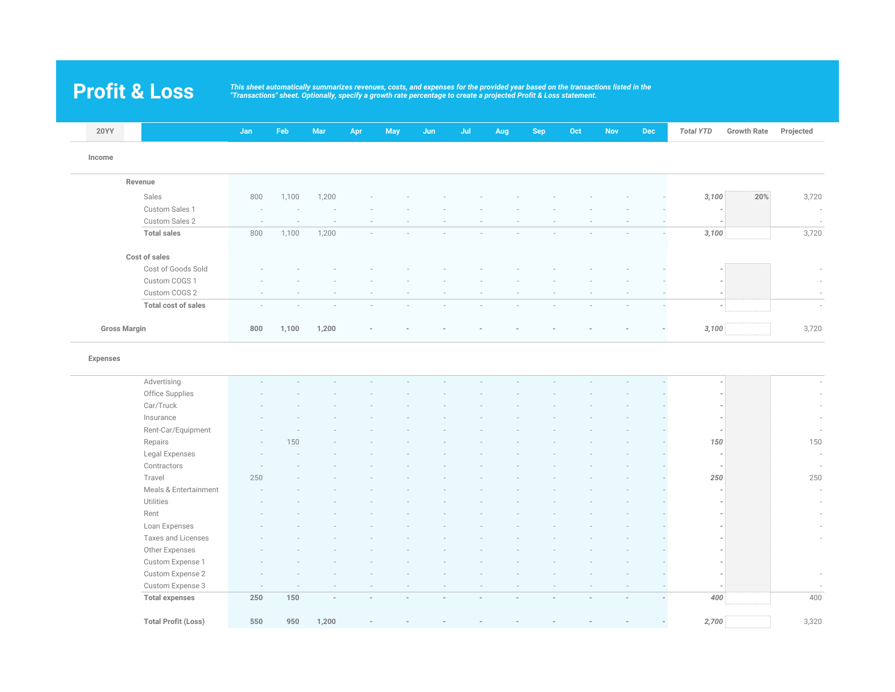**Profit & Loss** This sheet automatically summarizes revenues, costs, and expenses for the provided year based on the transactions listed in the "Transactions" sheet. Optionally, specify a growth rate percentage to create a

| <b>20YY</b>         |                     | Jan                      | Feb                      | Mar                      | Apr                      | <b>May</b> | <b>Jun</b>               | Jul                      | Aug                      | <b>Sep</b> | Oct                      | <b>Nov</b> | <b>Dec</b> | <b>Total YTD</b> | <b>Growth Rate</b> | Projected |
|---------------------|---------------------|--------------------------|--------------------------|--------------------------|--------------------------|------------|--------------------------|--------------------------|--------------------------|------------|--------------------------|------------|------------|------------------|--------------------|-----------|
| Income              |                     |                          |                          |                          |                          |            |                          |                          |                          |            |                          |            |            |                  |                    |           |
|                     | Revenue             |                          |                          |                          |                          |            |                          |                          |                          |            |                          |            |            |                  |                    |           |
|                     | Sales               | 800                      | 1,100                    | 1,200                    | $\overline{\phantom{a}}$ |            |                          |                          |                          |            |                          |            |            | 3,100            | 20%                | 3,720     |
|                     | Custom Sales 1      |                          |                          |                          |                          |            |                          |                          |                          |            |                          |            |            | $\sim$           |                    | $\sim$    |
|                     | Custom Sales 2      | $\sim$                   | $\overline{\phantom{a}}$ | $\overline{\phantom{a}}$ | $\overline{\phantom{a}}$ | $\sim$     | $\overline{\phantom{a}}$ | $\sim$                   | $\overline{\phantom{a}}$ | $\sim$     | $\overline{\phantom{a}}$ | $\sim$     |            |                  |                    | $\sim$    |
|                     | <b>Total sales</b>  | 800                      | 1,100                    | 1,200                    | -                        |            |                          |                          |                          |            |                          |            |            | 3,100            |                    | 3,720     |
|                     | Cost of sales       |                          |                          |                          |                          |            |                          |                          |                          |            |                          |            |            |                  |                    |           |
|                     | Cost of Goods Sold  |                          |                          |                          |                          |            |                          |                          |                          |            |                          |            |            |                  |                    | $\sim$    |
|                     | Custom COGS 1       | $\sim$                   |                          |                          |                          |            |                          |                          |                          |            |                          |            |            |                  |                    | $\sim$    |
|                     | Custom COGS 2       | $\overline{\phantom{a}}$ | $\overline{\phantom{a}}$ |                          | $\overline{\phantom{a}}$ |            | $\overline{\phantom{a}}$ | $\overline{\phantom{a}}$ | $\overline{\phantom{a}}$ | $\sim$     | $\overline{\phantom{a}}$ | $\sim$     |            |                  |                    | $\sim$    |
|                     | Total cost of sales |                          |                          |                          |                          |            |                          |                          |                          |            |                          |            |            | $\sim$           |                    | $\sim$    |
| <b>Gross Margin</b> |                     | 800                      | 1,100                    | 1,200                    | $\,$                     |            |                          |                          |                          |            |                          |            |            | 3,100            |                    | 3,720     |

**Expenses**

| Advertising                |        |     |                          |  |  |  |  |       | $\sim$                   |
|----------------------------|--------|-----|--------------------------|--|--|--|--|-------|--------------------------|
| Office Supplies            |        |     |                          |  |  |  |  |       | $\sim$                   |
| Car/Truck                  |        |     |                          |  |  |  |  |       | $\sim$                   |
| Insurance                  |        |     |                          |  |  |  |  |       | $\sim$                   |
| Rent-Car/Equipment         |        |     |                          |  |  |  |  |       | $\overline{\phantom{a}}$ |
| Repairs                    | $\sim$ | 150 |                          |  |  |  |  | 150   | 150                      |
| Legal Expenses             |        |     |                          |  |  |  |  |       | $\overline{\phantom{a}}$ |
| Contractors                |        |     |                          |  |  |  |  |       | $\overline{\phantom{a}}$ |
| Travel                     | 250    |     |                          |  |  |  |  | 250   | 250                      |
| Meals & Entertainment      |        |     |                          |  |  |  |  |       | $\overline{\phantom{a}}$ |
| Utilities                  |        |     |                          |  |  |  |  |       | $\sim$                   |
| Rent                       |        |     |                          |  |  |  |  |       | $\sim$                   |
| Loan Expenses              |        |     |                          |  |  |  |  |       | $\sim$                   |
| Taxes and Licenses         |        |     |                          |  |  |  |  |       | $\overline{\phantom{a}}$ |
| Other Expenses             |        |     |                          |  |  |  |  |       |                          |
| Custom Expense 1           |        |     |                          |  |  |  |  |       |                          |
| Custom Expense 2           |        |     |                          |  |  |  |  |       | $\overline{\phantom{a}}$ |
| Custom Expense 3           |        |     |                          |  |  |  |  |       |                          |
| <b>Total expenses</b>      | 250    | 150 | $\overline{\phantom{a}}$ |  |  |  |  | 400   | 400                      |
|                            |        |     |                          |  |  |  |  |       |                          |
| <b>Total Profit (Loss)</b> | 550    | 950 | 1,200                    |  |  |  |  | 2,700 | 3,320                    |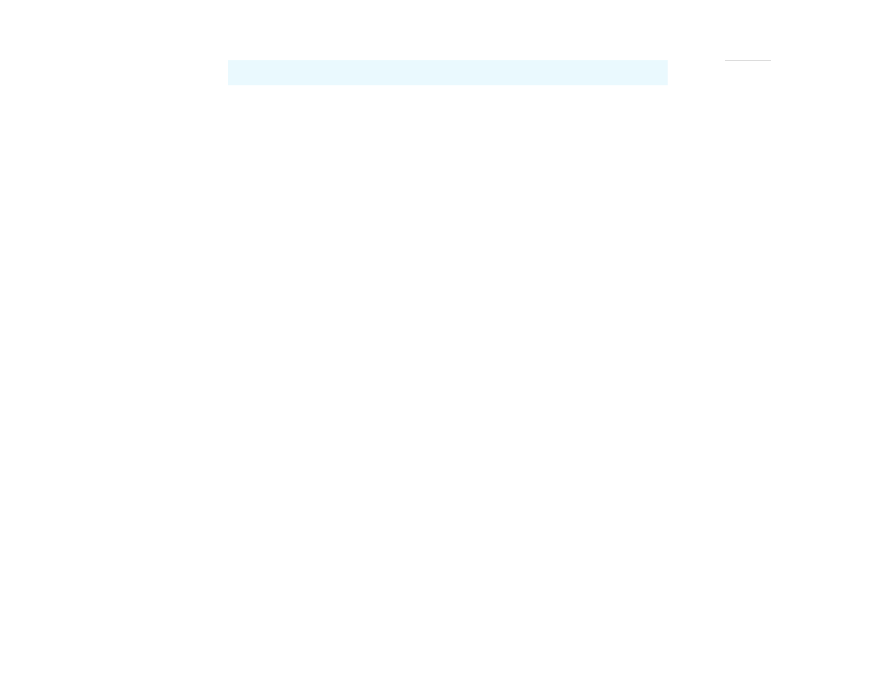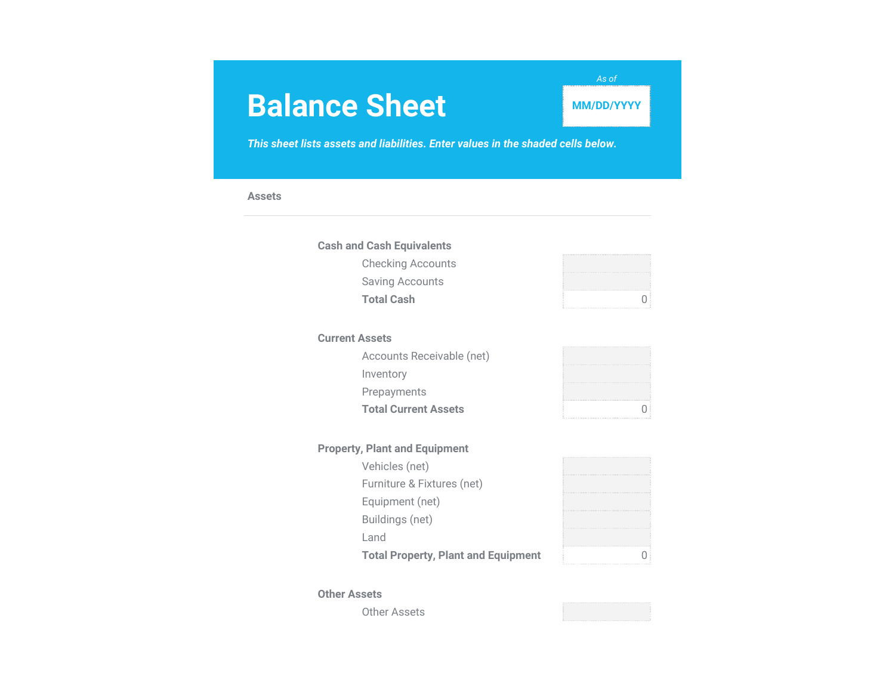## **Balance Sheet MM/DD/YYYY**

*This sheet lists assets and liabilities. Enter values in the shaded cells below.*

### **Assets**

## **Cash and Cash Equivalents** Checking Accounts Saving Accounts **Total Cash** 0 **Current Assets** Accounts Receivable (net) Inventory Prepayments **Total Current Assets** 0 **Property, Plant and Equipment** Vehicles (net) Furniture & Fixtures (net) Equipment (net) Buildings (net) Land **Total Property, Plant and Equipment** 0

### **Other Assets**

Other Assets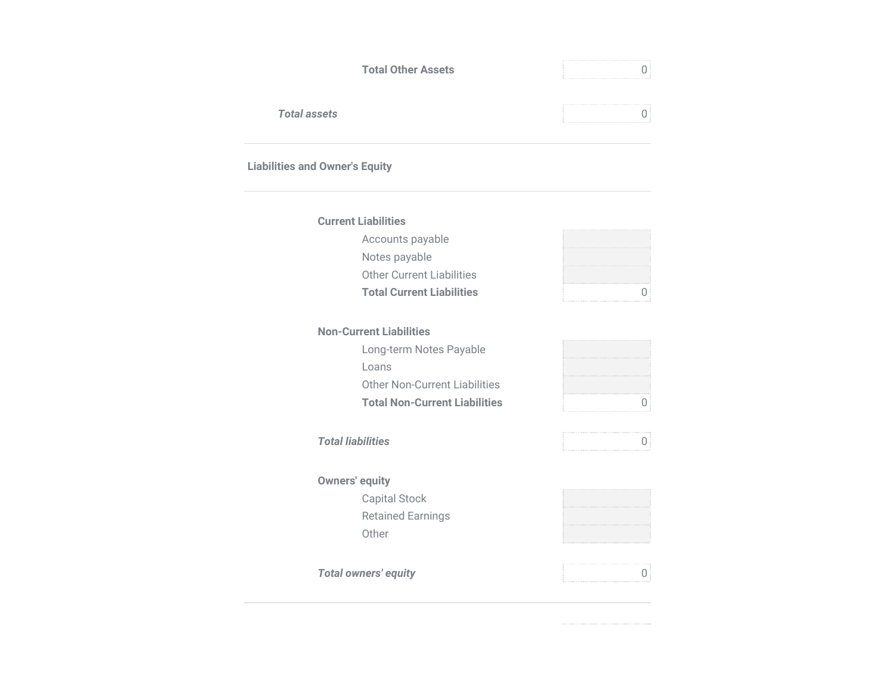| <b>Total Other Assets</b>             | 0      |
|---------------------------------------|--------|
| <b>Total assets</b>                   | 0      |
| <b>Liabilities and Owner's Equity</b> |        |
| <b>Current Liabilities</b>            |        |
| Accounts payable                      |        |
| Notes payable                         |        |
| <b>Other Current Liabilities</b>      |        |
| <b>Total Current Liabilities</b>      | 0      |
| <b>Non-Current Liabilities</b>        |        |
| Long-term Notes Payable               |        |
| Loans                                 |        |
| Other Non-Current Liabilities         |        |
| <b>Total Non-Current Liabilities</b>  | $\cap$ |
| <b>Total liabilities</b>              | 0      |
| <b>Owners' equity</b>                 |        |
| <b>Capital Stock</b>                  |        |
| <b>Retained Earnings</b>              |        |
| Other                                 |        |
| <b>Total owners' equity</b>           | 0      |